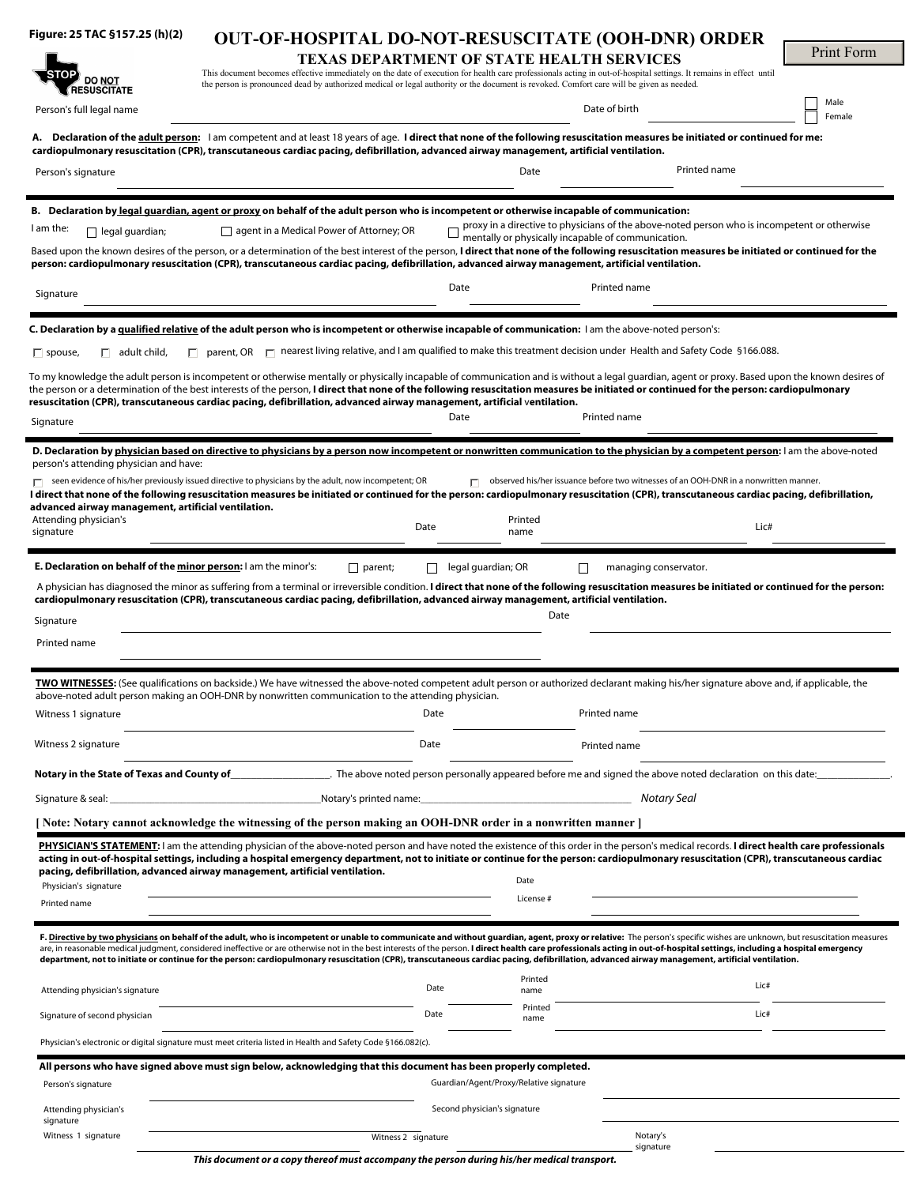| Figure: 25 TAC §157.25 (h)(2)                                          | <b>OUT-OF-HOSPITAL DO-NOT-RESUSCITATE (OOH-DNR) ORDER</b>                                                                                                                                                                                                                                                                                                                                                                                                                                                                                                                                                                                                 |      |                                         |                                                                                                                                                    |                |
|------------------------------------------------------------------------|-----------------------------------------------------------------------------------------------------------------------------------------------------------------------------------------------------------------------------------------------------------------------------------------------------------------------------------------------------------------------------------------------------------------------------------------------------------------------------------------------------------------------------------------------------------------------------------------------------------------------------------------------------------|------|-----------------------------------------|----------------------------------------------------------------------------------------------------------------------------------------------------|----------------|
|                                                                        | <b>TEXAS DEPARTMENT OF STATE HEALTH SERVICES</b>                                                                                                                                                                                                                                                                                                                                                                                                                                                                                                                                                                                                          |      |                                         |                                                                                                                                                    | Print Form     |
| <b>DO NOT</b>                                                          | This document becomes effective immediately on the date of execution for health care professionals acting in out-of-hospital settings. It remains in effect until<br>the person is pronounced dead by authorized medical or legal authority or the document is revoked. Comfort care will be given as needed.                                                                                                                                                                                                                                                                                                                                             |      |                                         |                                                                                                                                                    |                |
| <b>RESUSCITATE</b><br>Person's full legal name                         |                                                                                                                                                                                                                                                                                                                                                                                                                                                                                                                                                                                                                                                           |      |                                         | Date of birth                                                                                                                                      | Male<br>Female |
|                                                                        | A. Declaration of the adult person: I am competent and at least 18 years of age. I direct that none of the following resuscitation measures be initiated or continued for me:<br>cardiopulmonary resuscitation (CPR), transcutaneous cardiac pacing, defibrillation, advanced airway management, artificial ventilation.                                                                                                                                                                                                                                                                                                                                  |      |                                         |                                                                                                                                                    |                |
| Person's signature                                                     |                                                                                                                                                                                                                                                                                                                                                                                                                                                                                                                                                                                                                                                           |      | Date                                    | Printed name                                                                                                                                       |                |
|                                                                        | B. Declaration by <u>legal guardian, agent or proxy</u> on behalf of the adult person who is incompetent or otherwise incapable of communication:                                                                                                                                                                                                                                                                                                                                                                                                                                                                                                         |      |                                         |                                                                                                                                                    |                |
| I am the:<br>$\Box$ legal guardian;                                    | $\Box$ agent in a Medical Power of Attorney; OR                                                                                                                                                                                                                                                                                                                                                                                                                                                                                                                                                                                                           |      |                                         | proxy in a directive to physicians of the above-noted person who is incompetent or otherwise<br>mentally or physically incapable of communication. |                |
|                                                                        | Based upon the known desires of the person, or a determination of the best interest of the person, I direct that none of the following resuscitation measures be initiated or continued for the<br>person: cardiopulmonary resuscitation (CPR), transcutaneous cardiac pacing, defibrillation, advanced airway management, artificial ventilation.                                                                                                                                                                                                                                                                                                        |      |                                         |                                                                                                                                                    |                |
| Signature                                                              |                                                                                                                                                                                                                                                                                                                                                                                                                                                                                                                                                                                                                                                           | Date |                                         | Printed name                                                                                                                                       |                |
|                                                                        | C. Declaration by a qualified relative of the adult person who is incompetent or otherwise incapable of communication: I am the above-noted person's:                                                                                                                                                                                                                                                                                                                                                                                                                                                                                                     |      |                                         |                                                                                                                                                    |                |
| $\Box$ adult child,<br>$\Box$ spouse,                                  | $\Box$ parent, OR $\Box$ nearest living relative, and I am qualified to make this treatment decision under Health and Safety Code §166.088.                                                                                                                                                                                                                                                                                                                                                                                                                                                                                                               |      |                                         |                                                                                                                                                    |                |
|                                                                        | To my knowledge the adult person is incompetent or otherwise mentally or physically incapable of communication and is without a legal guardian, agent or proxy. Based upon the known desires of<br>the person or a determination of the best interests of the person, I direct that none of the following resuscitation measures be initiated or continued for the person: cardiopulmonary<br>resuscitation (CPR), transcutaneous cardiac pacing, defibrillation, advanced airway management, artificial ventilation.                                                                                                                                     |      |                                         |                                                                                                                                                    |                |
| Signature                                                              |                                                                                                                                                                                                                                                                                                                                                                                                                                                                                                                                                                                                                                                           | Date |                                         | Printed name                                                                                                                                       |                |
|                                                                        | D. Declaration by physician based on directive to physicians by a person now incompetent or nonwritten communication to the physician by a competent person: I am the above-noted                                                                                                                                                                                                                                                                                                                                                                                                                                                                         |      |                                         |                                                                                                                                                    |                |
| person's attending physician and have:                                 | $\Box$ seen evidence of his/her previously issued directive to physicians by the adult, now incompetent; OR                                                                                                                                                                                                                                                                                                                                                                                                                                                                                                                                               |      |                                         | observed his/her issuance before two witnesses of an OOH-DNR in a nonwritten manner.                                                               |                |
| advanced airway management, artificial ventilation.                    | I direct that none of the following resuscitation measures be initiated or continued for the person: cardiopulmonary resuscitation (CPR), transcutaneous cardiac pacing, defibrillation,                                                                                                                                                                                                                                                                                                                                                                                                                                                                  |      |                                         |                                                                                                                                                    |                |
| Attending physician's                                                  |                                                                                                                                                                                                                                                                                                                                                                                                                                                                                                                                                                                                                                                           | Date | Printed                                 |                                                                                                                                                    | Lic#           |
| signature                                                              |                                                                                                                                                                                                                                                                                                                                                                                                                                                                                                                                                                                                                                                           |      | name                                    |                                                                                                                                                    |                |
| <b>E. Declaration on behalf of the minor person:</b> I am the minor's: | $\Box$ parent;                                                                                                                                                                                                                                                                                                                                                                                                                                                                                                                                                                                                                                            |      | $\Box$ legal guardian; OR               | managing conservator.<br>П                                                                                                                         |                |
|                                                                        | A physician has diagnosed the minor as suffering from a terminal or irreversible condition. I direct that none of the following resuscitation measures be initiated or continued for the person:<br>cardiopulmonary resuscitation (CPR), transcutaneous cardiac pacing, defibrillation, advanced airway management, artificial ventilation.                                                                                                                                                                                                                                                                                                               |      |                                         |                                                                                                                                                    |                |
| Signature                                                              |                                                                                                                                                                                                                                                                                                                                                                                                                                                                                                                                                                                                                                                           |      | Date                                    |                                                                                                                                                    |                |
| Printed name                                                           |                                                                                                                                                                                                                                                                                                                                                                                                                                                                                                                                                                                                                                                           |      |                                         |                                                                                                                                                    |                |
|                                                                        |                                                                                                                                                                                                                                                                                                                                                                                                                                                                                                                                                                                                                                                           |      |                                         |                                                                                                                                                    |                |
|                                                                        | TWO WITNESSES: (See qualifications on backside.) We have witnessed the above-noted competent adult person or authorized declarant making his/her signature above and, if applicable, the                                                                                                                                                                                                                                                                                                                                                                                                                                                                  |      |                                         |                                                                                                                                                    |                |
| Witness 1 signature                                                    | above-noted adult person making an OOH-DNR by nonwritten communication to the attending physician.                                                                                                                                                                                                                                                                                                                                                                                                                                                                                                                                                        | Date |                                         | Printed name                                                                                                                                       |                |
|                                                                        |                                                                                                                                                                                                                                                                                                                                                                                                                                                                                                                                                                                                                                                           |      |                                         |                                                                                                                                                    |                |
| Witness 2 signature                                                    |                                                                                                                                                                                                                                                                                                                                                                                                                                                                                                                                                                                                                                                           | Date |                                         | Printed name                                                                                                                                       |                |
| Notary in the State of Texas and County of                             |                                                                                                                                                                                                                                                                                                                                                                                                                                                                                                                                                                                                                                                           |      |                                         |                                                                                                                                                    |                |
| Signature & seal:                                                      | Notary's printed name:                                                                                                                                                                                                                                                                                                                                                                                                                                                                                                                                                                                                                                    |      |                                         | Notary Seal                                                                                                                                        |                |
|                                                                        | [ Note: Notary cannot acknowledge the witnessing of the person making an OOH-DNR order in a nonwritten manner ]                                                                                                                                                                                                                                                                                                                                                                                                                                                                                                                                           |      |                                         |                                                                                                                                                    |                |
|                                                                        | PHYSICIAN'S STATEMENT: I am the attending physician of the above-noted person and have noted the existence of this order in the person's medical records. I direct health care professionals<br>acting in out-of-hospital settings, including a hospital emergency department, not to initiate or continue for the person: cardiopulmonary resuscitation (CPR), transcutaneous cardiac<br>pacing, defibrillation, advanced airway management, artificial ventilation.                                                                                                                                                                                     |      |                                         |                                                                                                                                                    |                |
| Physician's signature                                                  |                                                                                                                                                                                                                                                                                                                                                                                                                                                                                                                                                                                                                                                           |      | Date                                    |                                                                                                                                                    |                |
| Printed name                                                           |                                                                                                                                                                                                                                                                                                                                                                                                                                                                                                                                                                                                                                                           |      | License#                                |                                                                                                                                                    |                |
|                                                                        | F. Directive by two physicians on behalf of the adult, who is incompetent or unable to communicate and without guardian, agent, proxy or relative: The person's specific wishes are unknown, but resuscitation measures<br>are, in reasonable medical judgment, considered ineffective or are otherwise not in the best interests of the person. I direct health care professionals acting in out-of-hospital settings, including a hospital emergency<br>department, not to initiate or continue for the person: cardiopulmonary resuscitation (CPR), transcutaneous cardiac pacing, defibrillation, advanced airway management, artificial ventilation. |      |                                         |                                                                                                                                                    |                |
| Attending physician's signature                                        |                                                                                                                                                                                                                                                                                                                                                                                                                                                                                                                                                                                                                                                           | Date | Printed<br>name                         |                                                                                                                                                    | Lic#           |
| Signature of second physician                                          |                                                                                                                                                                                                                                                                                                                                                                                                                                                                                                                                                                                                                                                           | Date | Printed<br>name                         |                                                                                                                                                    | Lic#           |
|                                                                        | Physician's electronic or digital signature must meet criteria listed in Health and Safety Code §166.082(c).                                                                                                                                                                                                                                                                                                                                                                                                                                                                                                                                              |      |                                         |                                                                                                                                                    |                |
|                                                                        | All persons who have signed above must sign below, acknowledging that this document has been properly completed.                                                                                                                                                                                                                                                                                                                                                                                                                                                                                                                                          |      |                                         |                                                                                                                                                    |                |
| Person's signature                                                     |                                                                                                                                                                                                                                                                                                                                                                                                                                                                                                                                                                                                                                                           |      | Guardian/Agent/Proxy/Relative signature |                                                                                                                                                    |                |
| Attending physician's                                                  |                                                                                                                                                                                                                                                                                                                                                                                                                                                                                                                                                                                                                                                           |      | Second physician's signature            |                                                                                                                                                    |                |
| signature<br>Witness 1 signature                                       | Witness 2 signature                                                                                                                                                                                                                                                                                                                                                                                                                                                                                                                                                                                                                                       |      |                                         | Notary's                                                                                                                                           |                |
|                                                                        |                                                                                                                                                                                                                                                                                                                                                                                                                                                                                                                                                                                                                                                           |      |                                         | signature                                                                                                                                          |                |

*This document or a copy thereof must accompany the person during his/her medical transport.*